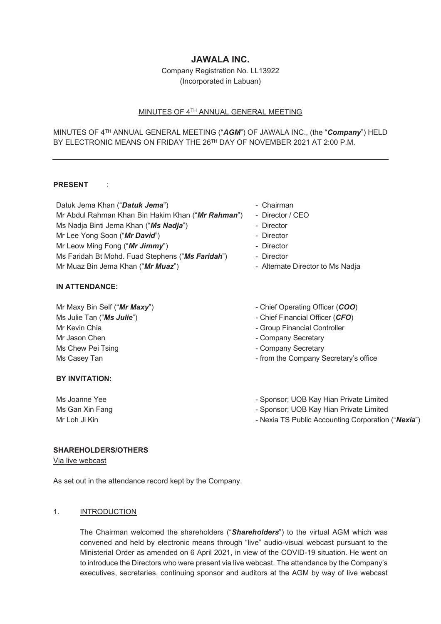# **JAWALA INC.**

Company Registration No. LL13922 (Incorporated in Labuan)

## MINUTES OF 4TH ANNUAL GENERAL MEETING

# MINUTES OF 4TH ANNUAL GENERAL MEETING ("*AGM*") OF JAWALA INC., (the "*Company*") HELD BY ELECTRONIC MEANS ON FRIDAY THE 26<sup>TH</sup> DAY OF NOVEMBER 2021 AT 2:00 P.M.

## **PRESENT** :

Datuk Jema Khan ("**Datuk Jema**") **- Chairman** Mr Abdul Rahman Khan Bin Hakim Khan ("*Mr Rahman*") - Director / CEO Ms Nadja Binti Jema Khan ("**Ms Nadja**") - Director Mr Lee Yong Soon ("*Mr David*") **- Director** Mr Leow Ming Fong ("*Mr Jimmy*") - Director Ms Faridah Bt Mohd. Fuad Stephens ("*Ms Faridah*") - Director Mr Muaz Bin Jema Khan ("*Mr Muaz*") **- Alternate Director to Ms Nadja** 

### **IN ATTENDANCE:**

Mr Maxy Bin Self ("*Mr Maxy*") Ms Julie Tan ("*Ms Julie*") Mr Kevin Chia Mr Jason Chen Ms Chew Pei Tsing

### **BY INVITATION:**

- 
- 
- 
- 
- 
- 
- 
- Chief Operating Officer (*COO*)
- Chief Financial Officer (*CFO*)
- Group Financial Controller
- Company Secretary
- Company Secretary
- Ms Casey Tan  $\blacksquare$  Tan  $\blacksquare$  and  $\blacksquare$  from the Company Secretary's office
- Ms Joanne Yee  **Sponsor**; UOB Kay Hian Private Limited
- Ms Gan Xin Fang Sponsor; UOB Kay Hian Private Limited
- Mr Loh Ji Kin  **Nexia TS Public Accounting Corporation ("Nexia")** Nexia TS Public Accounting Corporation ("**Nexia**")

## **SHAREHOLDERS/OTHERS**

Via live webcast

As set out in the attendance record kept by the Company.

## 1. INTRODUCTION

 The Chairman welcomed the shareholders ("*Shareholders*") to the virtual AGM which was convened and held by electronic means through "live" audio-visual webcast pursuant to the Ministerial Order as amended on 6 April 2021, in view of the COVID-19 situation. He went on to introduce the Directors who were present via live webcast. The attendance by the Company's executives, secretaries, continuing sponsor and auditors at the AGM by way of live webcast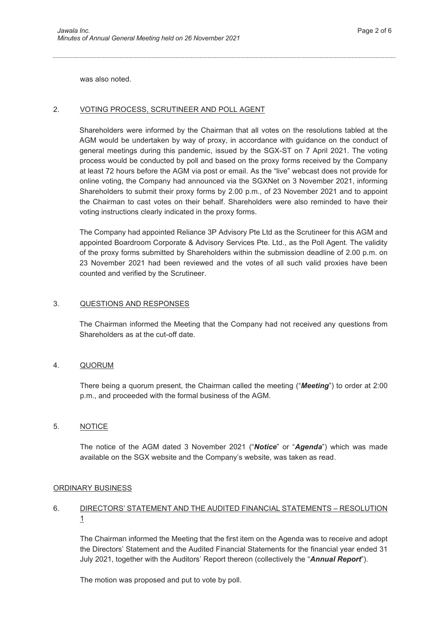was also noted.

## 2. VOTING PROCESS, SCRUTINEER AND POLL AGENT

Shareholders were informed by the Chairman that all votes on the resolutions tabled at the AGM would be undertaken by way of proxy, in accordance with guidance on the conduct of general meetings during this pandemic, issued by the SGX-ST on 7 April 2021. The voting process would be conducted by poll and based on the proxy forms received by the Company at least 72 hours before the AGM via post or email. As the "live" webcast does not provide for online voting, the Company had announced via the SGXNet on 3 November 2021, informing Shareholders to submit their proxy forms by 2.00 p.m., of 23 November 2021 and to appoint the Chairman to cast votes on their behalf. Shareholders were also reminded to have their voting instructions clearly indicated in the proxy forms.

The Company had appointed Reliance 3P Advisory Pte Ltd as the Scrutineer for this AGM and appointed Boardroom Corporate & Advisory Services Pte. Ltd., as the Poll Agent. The validity of the proxy forms submitted by Shareholders within the submission deadline of 2.00 p.m. on 23 November 2021 had been reviewed and the votes of all such valid proxies have been counted and verified by the Scrutineer.

### 3. QUESTIONS AND RESPONSES

The Chairman informed the Meeting that the Company had not received any questions from Shareholders as at the cut-off date.

### 4. QUORUM

There being a quorum present, the Chairman called the meeting ("*Meeting*") to order at 2:00 p.m., and proceeded with the formal business of the AGM.

## 5. NOTICE

 The notice of the AGM dated 3 November 2021 ("*Notice*" or "*Agenda*") which was made available on the SGX website and the Company's website, was taken as read.

### ORDINARY BUSINESS

# 6. DIRECTORS' STATEMENT AND THE AUDITED FINANCIAL STATEMENTS – RESOLUTION 1

 The Chairman informed the Meeting that the first item on the Agenda was to receive and adopt the Directors' Statement and the Audited Financial Statements for the financial year ended 31 July 2021, together with the Auditors' Report thereon (collectively the "*Annual Report*").

The motion was proposed and put to vote by poll.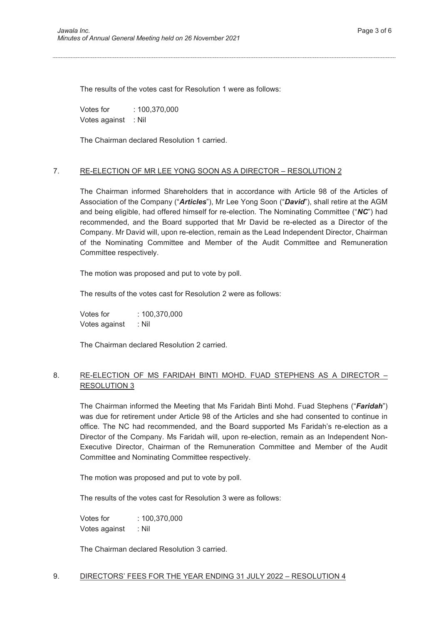The results of the votes cast for Resolution 1 were as follows:

Votes for : 100,370,000 Votes against : Nil

The Chairman declared Resolution 1 carried.

## 7. RE-ELECTION OF MR LEE YONG SOON AS A DIRECTOR – RESOLUTION 2

The Chairman informed Shareholders that in accordance with Article 98 of the Articles of Association of the Company ("*Articles*"), Mr Lee Yong Soon ("*David*"), shall retire at the AGM and being eligible, had offered himself for re-election. The Nominating Committee ("*NC*") had recommended, and the Board supported that Mr David be re-elected as a Director of the Company. Mr David will, upon re-election, remain as the Lead Independent Director, Chairman of the Nominating Committee and Member of the Audit Committee and Remuneration Committee respectively.

The motion was proposed and put to vote by poll.

The results of the votes cast for Resolution 2 were as follows:

 Votes for : 100,370,000 Votes against : Nil

The Chairman declared Resolution 2 carried.

# 8. RE-ELECTION OF MS FARIDAH BINTI MOHD. FUAD STEPHENS AS A DIRECTOR -RESOLUTION 3

The Chairman informed the Meeting that Ms Faridah Binti Mohd. Fuad Stephens ("*Faridah*") was due for retirement under Article 98 of the Articles and she had consented to continue in office. The NC had recommended, and the Board supported Ms Faridah's re-election as a Director of the Company. Ms Faridah will, upon re-election, remain as an Independent Non-Executive Director, Chairman of the Remuneration Committee and Member of the Audit Committee and Nominating Committee respectively.

The motion was proposed and put to vote by poll.

The results of the votes cast for Resolution 3 were as follows:

 Votes for : 100,370,000 Votes against : Nil

The Chairman declared Resolution 3 carried.

### 9. DIRECTORS' FEES FOR THE YEAR ENDING 31 JULY 2022 – RESOLUTION 4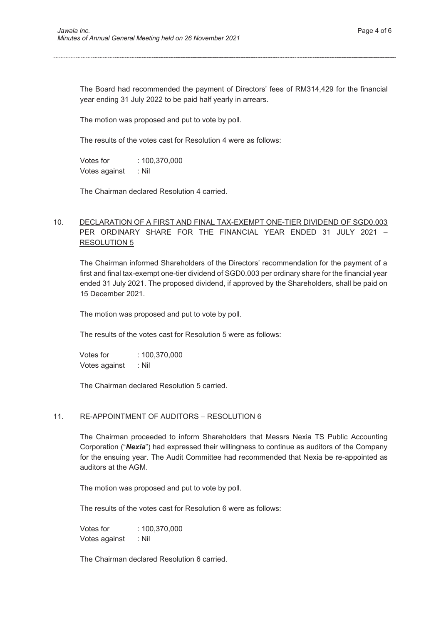The Board had recommended the payment of Directors' fees of RM314,429 for the financial year ending 31 July 2022 to be paid half yearly in arrears.

The motion was proposed and put to vote by poll.

The results of the votes cast for Resolution 4 were as follows:

 Votes for : 100,370,000 Votes against : Nil

The Chairman declared Resolution 4 carried.

# 10. DECLARATION OF A FIRST AND FINAL TAX-EXEMPT ONE-TIER DIVIDEND OF SGD0.003 PER ORDINARY SHARE FOR THE FINANCIAL YEAR ENDED 31 JULY 2021 – RESOLUTION 5

The Chairman informed Shareholders of the Directors' recommendation for the payment of a first and final tax-exempt one-tier dividend of SGD0.003 per ordinary share for the financial year ended 31 July 2021. The proposed dividend, if approved by the Shareholders, shall be paid on 15 December 2021.

The motion was proposed and put to vote by poll.

The results of the votes cast for Resolution 5 were as follows:

Votes for : 100,370,000 Votes against : Nil

The Chairman declared Resolution 5 carried.

#### 11. RE-APPOINTMENT OF AUDITORS – RESOLUTION 6

 The Chairman proceeded to inform Shareholders that Messrs Nexia TS Public Accounting Corporation ("*Nexia*") had expressed their willingness to continue as auditors of the Company for the ensuing year. The Audit Committee had recommended that Nexia be re-appointed as auditors at the AGM.

The motion was proposed and put to vote by poll.

The results of the votes cast for Resolution 6 were as follows:

 Votes for : 100,370,000 Votes against : Nil

The Chairman declared Resolution 6 carried.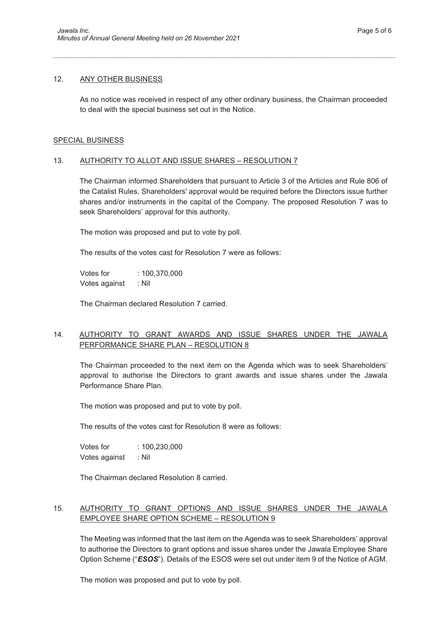### 12. ANY OTHER BUSINESS

 As no notice was received in respect of any other ordinary business, the Chairman proceeded to deal with the special business set out in the Notice.

### SPECIAL BUSINESS

## 13. AUTHORITY TO ALLOT AND ISSUE SHARES – RESOLUTION 7

 The Chairman informed Shareholders that pursuant to Article 3 of the Articles and Rule 806 of the Catalist Rules, Shareholders' approval would be required before the Directors issue further shares and/or instruments in the capital of the Company. The proposed Resolution 7 was to seek Shareholders' approval for this authority.

The motion was proposed and put to vote by poll.

The results of the votes cast for Resolution 7 were as follows:

 Votes for : 100,370,000 Votes against : Nil

The Chairman declared Resolution 7 carried.

# 14. AUTHORITY TO GRANT AWARDS AND ISSUE SHARES UNDER THE JAWALA PERFORMANCE SHARE PLAN – RESOLUTION 8

The Chairman proceeded to the next item on the Agenda which was to seek Shareholders' approval to authorise the Directors to grant awards and issue shares under the Jawala Performance Share Plan.

The motion was proposed and put to vote by poll.

The results of the votes cast for Resolution 8 were as follows:

 Votes for : 100,230,000 Votes against : Nil

The Chairman declared Resolution 8 carried.

# 15. AUTHORITY TO GRANT OPTIONS AND ISSUE SHARES UNDER THE JAWALA EMPLOYEE SHARE OPTION SCHEME – RESOLUTION 9

 The Meeting was informed that the last item on the Agenda was to seek Shareholders' approval to authorise the Directors to grant options and issue shares under the Jawala Employee Share Option Scheme ("*ESOS*"). Details of the ESOS were set out under item 9 of the Notice of AGM.

The motion was proposed and put to vote by poll.